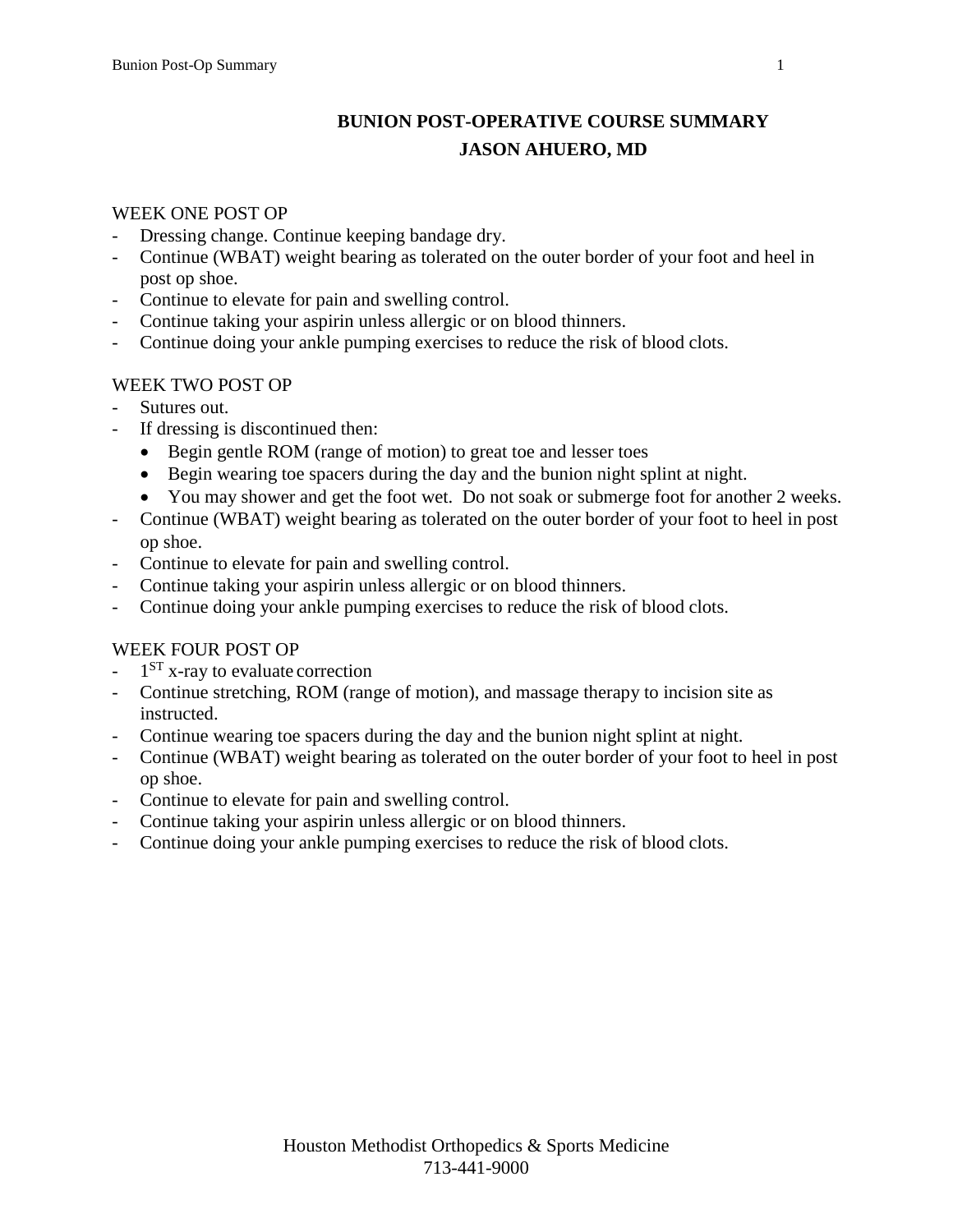# **BUNION POST-OPERATIVE COURSE SUMMARY JASON AHUERO, MD**

#### WEEK ONE POST OP

- Dressing change. Continue keeping bandage dry.
- Continue (WBAT) weight bearing as tolerated on the outer border of your foot and heel in post op shoe.
- Continue to elevate for pain and swelling control.
- Continue taking your aspirin unless allergic or on blood thinners.
- Continue doing your ankle pumping exercises to reduce the risk of blood clots.

### WEEK TWO POST OP

- Sutures out.
- If dressing is discontinued then:
	- Begin gentle ROM (range of motion) to great toe and lesser toes
	- Begin wearing toe spacers during the day and the bunion night splint at night.
	- You may shower and get the foot wet. Do not soak or submerge foot for another 2 weeks.
- Continue (WBAT) weight bearing as tolerated on the outer border of your foot to heel in post op shoe.
- Continue to elevate for pain and swelling control.
- Continue taking your aspirin unless allergic or on blood thinners.
- Continue doing your ankle pumping exercises to reduce the risk of blood clots.

# WEEK FOUR POST OP

- $-1<sup>ST</sup>$  x-ray to evaluate correction
- Continue stretching, ROM (range of motion), and massage therapy to incision site as instructed.
- Continue wearing toe spacers during the day and the bunion night splint at night.
- Continue (WBAT) weight bearing as tolerated on the outer border of your foot to heel in post op shoe.
- Continue to elevate for pain and swelling control.
- Continue taking your aspirin unless allergic or on blood thinners.
- Continue doing your ankle pumping exercises to reduce the risk of blood clots.